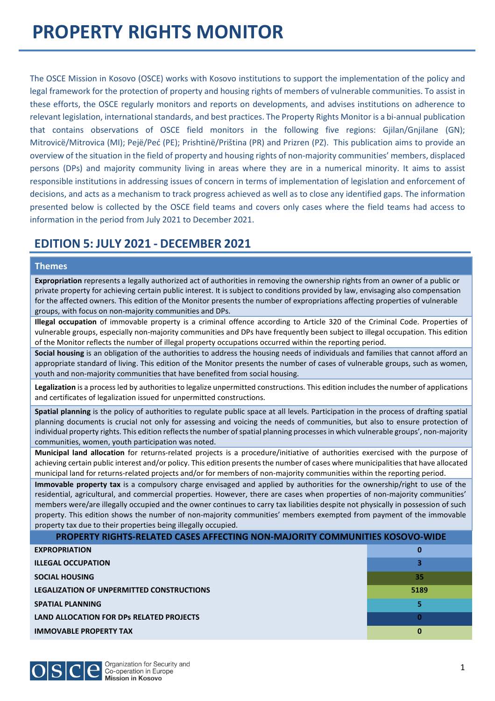The OSCE Mission in Kosovo (OSCE) works with Kosovo institutions to support the implementation of the policy and legal framework for the protection of property and housing rights of members of vulnerable communities. To assist in these efforts, the OSCE regularly monitors and reports on developments, and advises institutions on adherence to relevant legislation, international standards, and best practices. The Property Rights Monitor is a bi-annual publication that contains observations of OSCE field monitors in the following five regions: Gjilan/Gnjilane (GN); Mitrovicë/Mitrovica (MI); Pejë/Peć (PE); Prishtinë/Priština (PR) and Prizren (PZ). This publication aims to provide an overview of the situation in the field of property and housing rights of non-majority communities' members, displaced persons (DPs) and majority community living in areas where they are in a numerical minority. It aims to assist responsible institutions in addressing issues of concern in terms of implementation of legislation and enforcement of decisions, and acts as a mechanism to track progress achieved as well as to close any identified gaps. The information presented below is collected by the OSCE field teams and covers only cases where the field teams had access to information in the period from July 2021 to December 2021.

# **EDITION 5: JULY 2021 - DECEMBER 2021**

#### **Themes**

**Expropriation** represents a legally authorized act of authorities in removing the ownership rights from an owner of a public or private property for achieving certain public interest. It is subject to conditions provided by law, envisaging also compensation for the affected owners. This edition of the Monitor presents the number of expropriations affecting properties of vulnerable groups, with focus on non-majority communities and DPs.

**Illegal occupation** of immovable property is a criminal offence according to Article 320 of the Criminal Code. Properties of vulnerable groups, especially non-majority communities and DPs have frequently been subject to illegal occupation. This edition of the Monitor reflects the number of illegal property occupations occurred within the reporting period.

**Social housing** is an obligation of the authorities to address the housing needs of individuals and families that cannot afford an appropriate standard of living. This edition of the Monitor presents the number of cases of vulnerable groups, such as women, youth and non-majority communities that have benefited from social housing.

**Legalization** is a process led by authorities to legalize unpermitted constructions. This edition includes the number of applications and certificates of legalization issued for unpermitted constructions.

**Spatial planning** is the policy of authorities to regulate public space at all levels. Participation in the process of drafting spatial planning documents is crucial not only for assessing and voicing the needs of communities, but also to ensure protection of individual property rights. This edition reflects the number of spatial planning processes in which vulnerable groups', non-majority communities, women, youth participation was noted.

**Municipal land allocation** for returns-related projects is a procedure/initiative of authorities exercised with the purpose of achieving certain public interest and/or policy. This edition presents the number of cases where municipalities that have allocated municipal land for returns-related projects and/or for members of non-majority communities within the reporting period.

**Immovable property tax** is a compulsory charge envisaged and applied by authorities for the ownership/right to use of the residential, agricultural, and commercial properties. However, there are cases when properties of non-majority communities' members were/are illegally occupied and the owner continues to carry tax liabilities despite not physically in possession of such property. This edition shows the number of non-majority communities' members exempted from payment of the immovable property tax due to their properties being illegally occupied.

| PROPERTY RIGHTS-RELATED CASES AFFECTING NON-MAJORITY COMMUNITIES KOSOVO-WIDE |      |
|------------------------------------------------------------------------------|------|
| <b>EXPROPRIATION</b>                                                         | 0    |
| <b>ILLEGAL OCCUPATION</b>                                                    |      |
| <b>SOCIAL HOUSING</b>                                                        | 35   |
| LEGALIZATION OF UNPERMITTED CONSTRUCTIONS                                    | 5189 |
| <b>SPATIAL PLANNING</b>                                                      | 5    |
| LAND ALLOCATION FOR DPs RELATED PROJECTS                                     | 0    |
| <b>IMMOVABLE PROPERTY TAX</b>                                                | 0    |

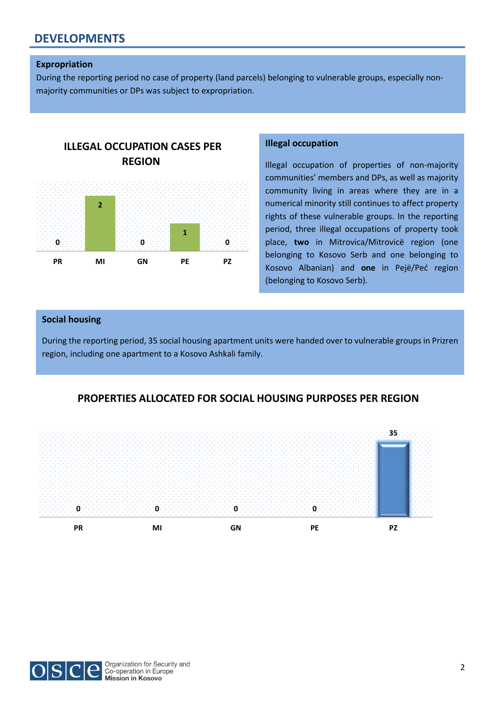# **DEVELOPMENTS**

### **Expropriation**

During the reporting period no case of property (land parcels) belonging to vulnerable groups, especially nonmajority communities or DPs was subject to expropriation.



### **Illegal occupation**

Illegal occupation of properties of non-majority communities' members and DPs, as well as majority community living in areas where they are in a numerical minority still continues to affect property rights of these vulnerable groups. In the reporting period, three illegal occupations of property took place, **two** in Mitrovica/Mitrovicë region (one belonging to Kosovo Serb and one belonging to Kosovo Albanian) and **one** in Pejë/Peć region (belonging to Kosovo Serb).

### **Social housing**

During the reporting period, 35 social housing apartment units were handed over to vulnerable groups in Prizren region, including one apartment to a Kosovo Ashkali family.

## **PROPERTIES ALLOCATED FOR SOCIAL HOUSING PURPOSES PER REGION**



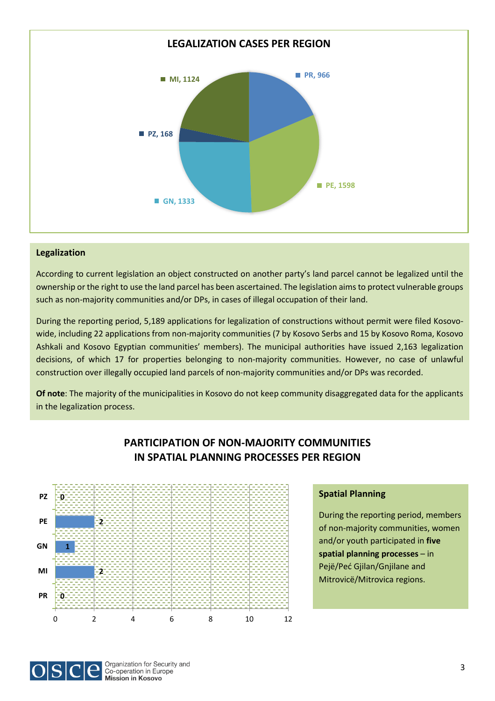

### **Legalization**

According to current legislation an object constructed on another party's land parcel cannot be legalized until the ownership or the right to use the land parcel has been ascertained. The legislation aims to protect vulnerable groups such as non-majority communities and/or DPs, in cases of illegal occupation of their land.

During the reporting period, 5,189 applications for legalization of constructions without permit were filed Kosovowide, including 22 applications from non-majority communities (7 by Kosovo Serbs and 15 by Kosovo Roma, Kosovo Ashkali and Kosovo Egyptian communities' members). The municipal authorities have issued 2,163 legalization decisions, of which 17 for properties belonging to non-majority communities. However, no case of unlawful construction over illegally occupied land parcels of non-majority communities and/or DPs was recorded.

**Of note**: The majority of the municipalities in Kosovo do not keep community disaggregated data for the applicants in the legalization process.



## **PARTICIPATION OF NON-MAJORITY COMMUNITIES IN SPATIAL PLANNING PROCESSES PER REGION**

## **Spatial Planning**

During the reporting period, members of non-majority communities, women and/or youth participated in **five spatial planning processes** – in Pejë/Peć Gjilan/Gnjilane and Mitrovicë/Mitrovica regions.